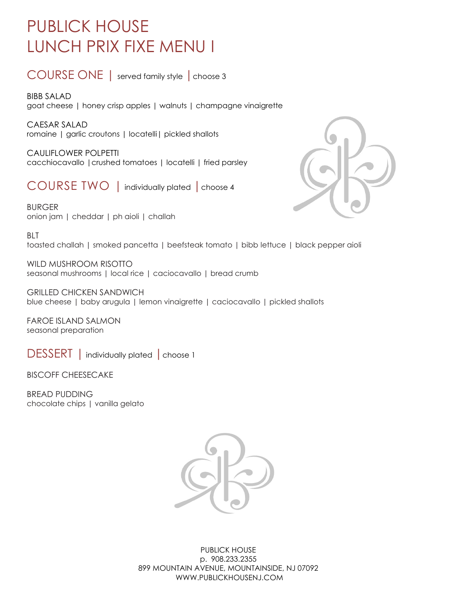## PUBLICK HOUSE LUNCH PRIX FIXE MENU I

COURSE ONE | served family style |choose 3

BIBB SALAD goat cheese | honey crisp apples | walnuts | champagne vinaigrette

CAESAR SALAD romaine | garlic croutons | locatelli| pickled shallots

CAULIFLOWER POLPETTI cacchiocavallo |crushed tomatoes | locatelli | fried parsley

COURSE TWO | individually plated | choose 4

BURGER onion jam | cheddar | ph aioli | challah



**BLT** 

toasted challah | smoked pancetta | beefsteak tomato | bibb lettuce | black pepper aioli

WILD MUSHROOM RISOTTO seasonal mushrooms | local rice | caciocavallo | bread crumb

GRILLED CHICKEN SANDWICH blue cheese | baby arugula | lemon vinaigrette | caciocavallo | pickled shallots

FAROE ISLAND SALMON seasonal preparation

DESSERT | individually plated | choose 1

BISCOFF CHEESECAKE

BREAD PUDDING chocolate chips | vanilla gelato

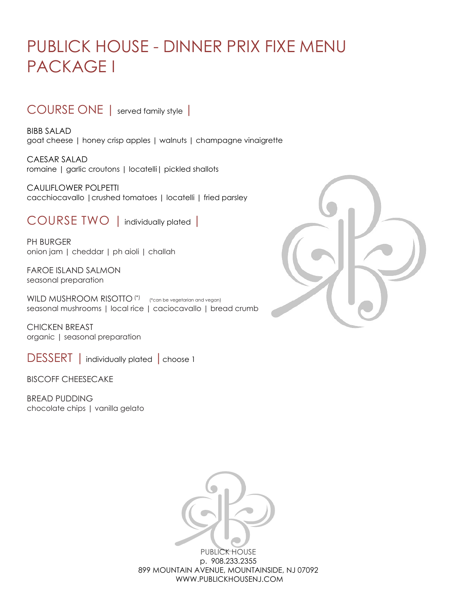## PUBLICK HOUSE - DINNER PRIX FIXE MENU PACKAGE I

### COURSE ONE | served family style |

BIBB SALAD goat cheese | honey crisp apples | walnuts | champagne vinaigrette

CAESAR SALAD romaine | garlic croutons | locatelli| pickled shallots

CAULIFLOWER POLPETTI cacchiocavallo |crushed tomatoes | locatelli | fried parsley

COURSE TWO | individually plated |

PH BURGER onion jam | cheddar | ph aioli | challah

FAROE ISLAND SALMON seasonal preparation

WILD MUSHROOM RISOTTO<sup>(\*)</sup> (\*can be vegetarian and vegan) seasonal mushrooms | local rice | caciocavallo | bread crumb

CHICKEN BREAST organic | seasonal preparation

DESSERT | individually plated | choose 1

BISCOFF CHEESECAKE

BREAD PUDDING chocolate chips | vanilla gelato



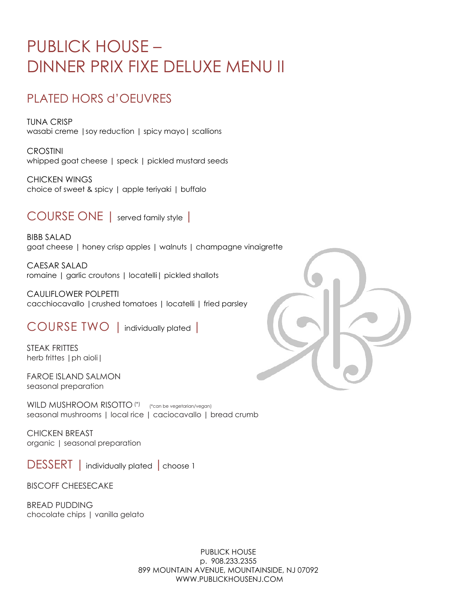## PUBLICK HOUSE – DINNER PRIX FIXE DELUXE MENU II

### PLATED HORS d'OEUVRES

TUNA CRISP wasabi creme |soy reduction | spicy mayo| scallions

CROSTINI whipped goat cheese | speck | pickled mustard seeds

CHICKEN WINGS choice of sweet & spicy | apple teriyaki | buffalo

COURSE ONE | served family style |

BIBB SALAD goat cheese | honey crisp apples | walnuts | champagne vinaigrette

CAESAR SALAD romaine | garlic croutons | locatelli| pickled shallots

CAULIFLOWER POLPETTI cacchiocavallo |crushed tomatoes | locatelli | fried parsley

COURSE TWO | individually plated |

STEAK FRITTES herb frittes | ph aioli |

FAROE ISLAND SALMON seasonal preparation

WILD MUSHROOM RISOTTO<sup>(\*)</sup> (\*can be vegetarian/vegan) seasonal mushrooms | local rice | caciocavallo | bread crumb

CHICKEN BREAST organic | seasonal preparation

DESSERT | individually plated | choose 1

BISCOFF CHEESECAKE

BREAD PUDDING chocolate chips | vanilla gelato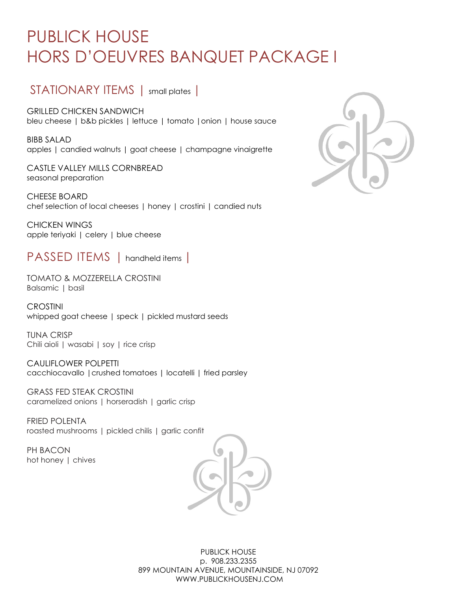# PUBLICK HOUSE HORS D'OEUVRES BANQUET PACKAGE I

### STATIONARY ITEMS | small plates |

GRILLED CHICKEN SANDWICH bleu cheese | b&b pickles | lettuce | tomato |onion | house sauce

BIBB SALAD apples | candied walnuts | goat cheese | champagne vinaigrette

CASTLE VALLEY MILLS CORNBREAD seasonal preparation

CHEESE BOARD chef selection of local cheeses | honey | crostini | candied nuts

CHICKEN WINGS apple teriyaki | celery | blue cheese

PASSED ITEMS | handheld items |

TOMATO & MOZZERELLA CROSTINI Balsamic | basil

**CROSTINI** whipped goat cheese | speck | pickled mustard seeds

TUNA CRISP Chili aioli | wasabi | soy | rice crisp

CAULIFLOWER POLPETTI cacchiocavallo |crushed tomatoes | locatelli | fried parsley

GRASS FED STEAK CROSTINI caramelized onions | horseradish | garlic crisp

FRIED POLENTA roasted mushrooms | pickled chilis | garlic confit

PH BACON hot honey | chives



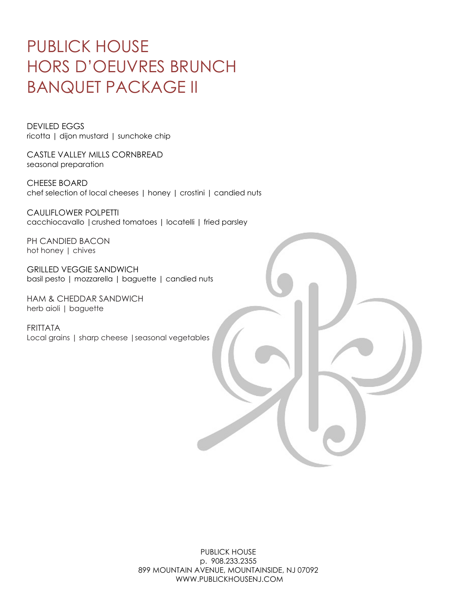## PUBLICK HOUSE HORS D'OEUVRES BRUNCH BANQUET PACKAGE II

DEVILED EGGS ricotta | dijon mustard | sunchoke chip

CASTLE VALLEY MILLS CORNBREAD seasonal preparation

CHEESE BOARD chef selection of local cheeses | honey | crostini | candied nuts

CAULIFLOWER POLPETTI cacchiocavallo |crushed tomatoes | locatelli | fried parsley

PH CANDIED BACON hot honey | chives

GRILLED VEGGIE SANDWICH basil pesto | mozzarella | baguette | candied nuts

HAM & CHEDDAR SANDWICH herb aioli | baguette

FRITTATA Local grains | sharp cheese |seasonal vegetables